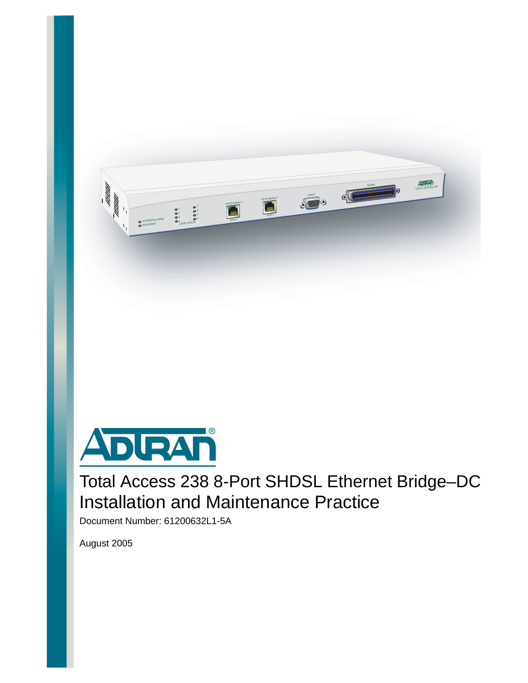



## Total Access 238 8-Port SHDSL Ethernet Bridge–DC Installation and Maintenance Practice

Document Number: 61200632L1-5A

August 2005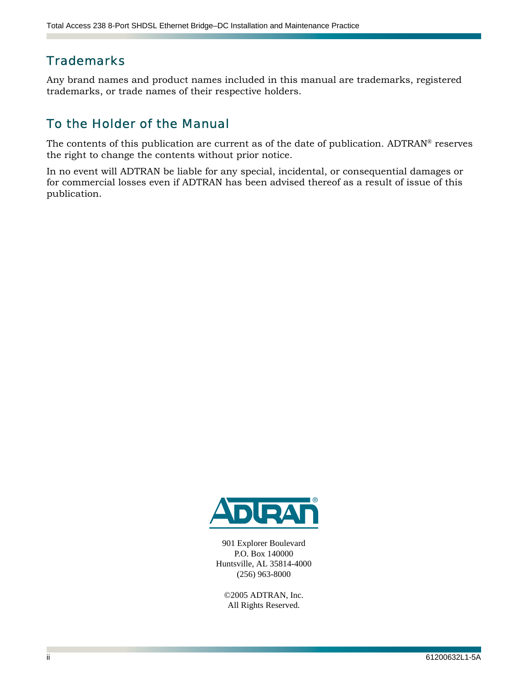### **Trademarks**

Any brand names and product names included in this manual are trademarks, registered trademarks, or trade names of their respective holders.

### To the Holder of the Manual

The contents of this publication are current as of the date of publication. ADTRAN® reserves the right to change the contents without prior notice.

In no event will ADTRAN be liable for any special, incidental, or consequential damages or for commercial losses even if ADTRAN has been advised thereof as a result of issue of this publication.



901 Explorer Boulevard P.O. Box 140000 Huntsville, AL 35814-4000 (256) 963-8000

©2005 ADTRAN, Inc. All Rights Reserved.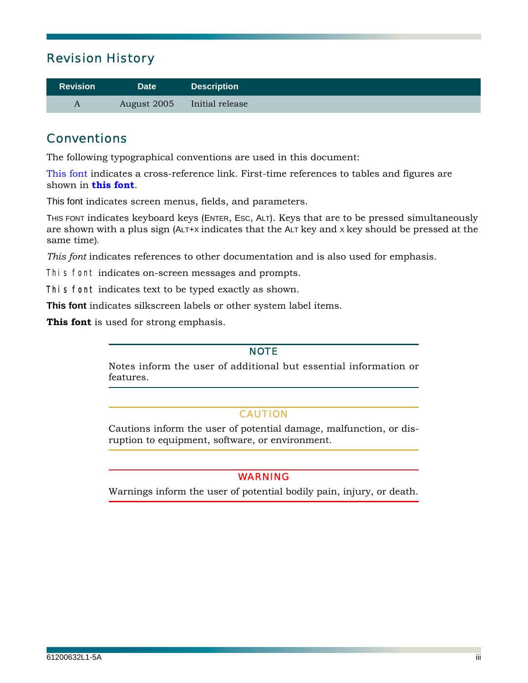### Revision History

| <b>Revision</b> | <b>Date</b> | Description     |
|-----------------|-------------|-----------------|
| A               | August 2005 | Initial release |

### **Conventions**

The following typographical conventions are used in this document:

This font indicates a cross-reference link. First-time references to tables and figures are shown in **this font**.

This font indicates screen menus, fields, and parameters.

THIS FONT indicates keyboard keys (ENTER, ESC, ALT). Keys that are to be pressed simultaneously are shown with a plus sign (ALT+X indicates that the ALT key and X key should be pressed at the same time).

*This font* indicates references to other documentation and is also used for emphasis.

This font indicates on-screen messages and prompts.

This font indicates text to be typed exactly as shown.

**This font** indicates silkscreen labels or other system label items.

**This font** is used for strong emphasis.

#### **NOTE**

Notes inform the user of additional but essential information or features.

### **CAUTION**

Cautions inform the user of potential damage, malfunction, or disruption to equipment, software, or environment.

### WARNING

Warnings inform the user of potential bodily pain, injury, or death.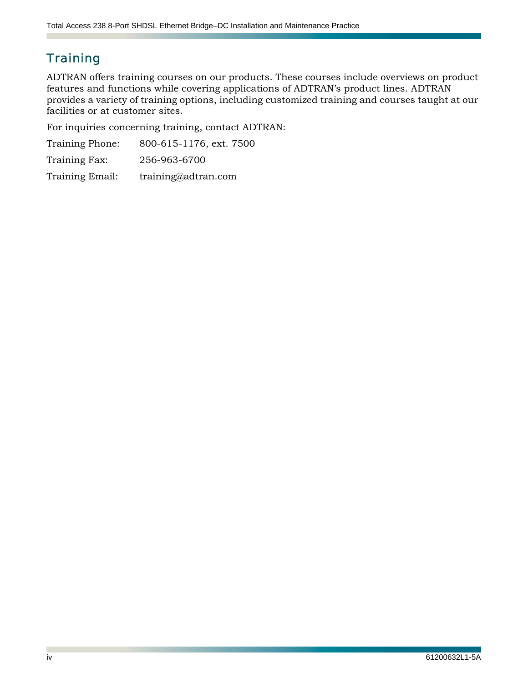### **Training**

ADTRAN offers training courses on our products. These courses include overviews on product features and functions while covering applications of ADTRAN's product lines. ADTRAN provides a variety of training options, including customized training and courses taught at our facilities or at customer sites.

For inquiries concerning training, contact ADTRAN:

| <b>Training Phone:</b> | 800-615-1176, ext. 7500 |
|------------------------|-------------------------|
| Training Fax:          | 256-963-6700            |
| Training Email:        | training@adtran.com     |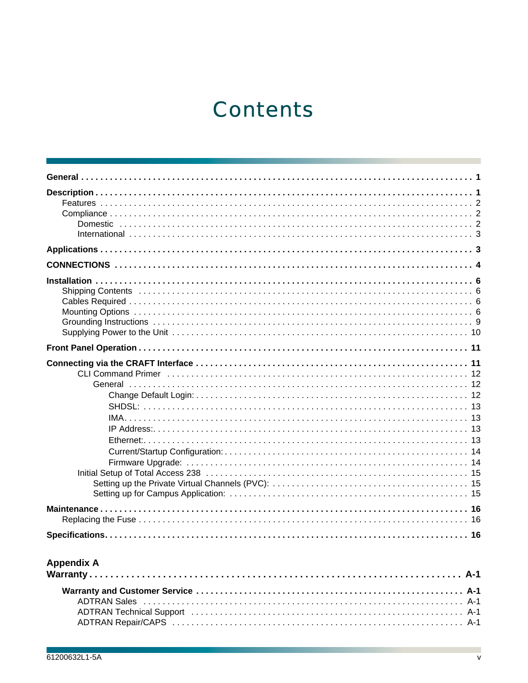# **Contents**

| CLI Command Primer (and according to the community of the community of the community of the community of the c |  |
|----------------------------------------------------------------------------------------------------------------|--|
|                                                                                                                |  |
|                                                                                                                |  |

### **Appendix A**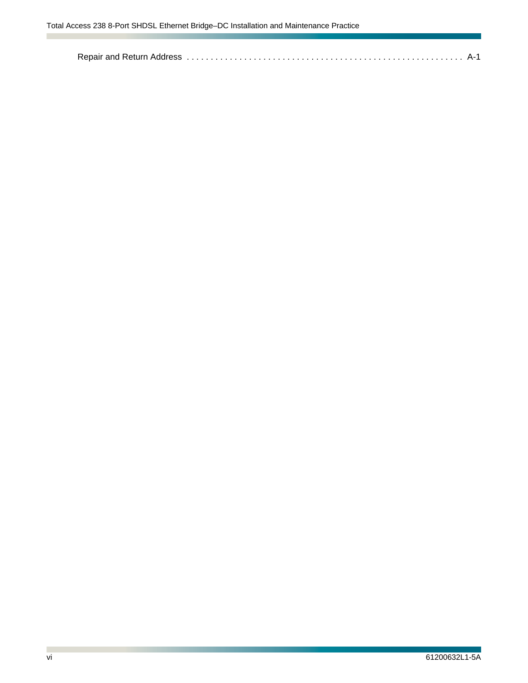|--|--|--|--|--|--|--|--|--|--|

п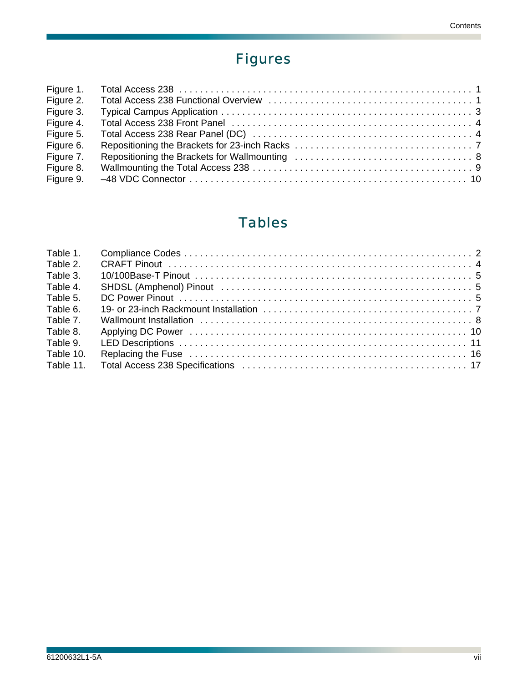## **Figures**

| Figure 1. |  |
|-----------|--|
| Figure 2. |  |
| Figure 3. |  |
| Figure 4. |  |
| Figure 5. |  |
| Figure 6. |  |
| Figure 7. |  |
| Figure 8. |  |
| Figure 9. |  |

### **Tables**

| Table 1.  |                                                                                                                                     |  |
|-----------|-------------------------------------------------------------------------------------------------------------------------------------|--|
| Table 2.  |                                                                                                                                     |  |
| Table 3.  |                                                                                                                                     |  |
| Table 4.  |                                                                                                                                     |  |
| Table 5.  |                                                                                                                                     |  |
| Table 6.  |                                                                                                                                     |  |
| Table 7.  |                                                                                                                                     |  |
| Table 8.  |                                                                                                                                     |  |
| Table 9.  |                                                                                                                                     |  |
| Table 10. |                                                                                                                                     |  |
| Table 11. | Total Access 238 Specifications (and account contract of the Access 238 Specifications (and account contract of the Model Access 17 |  |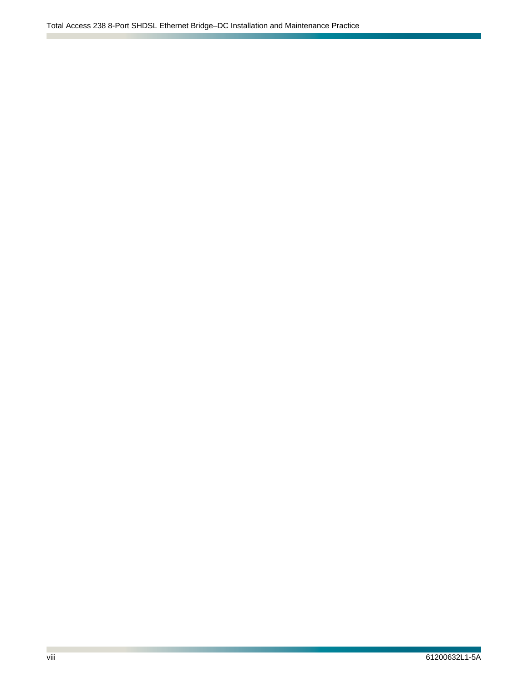п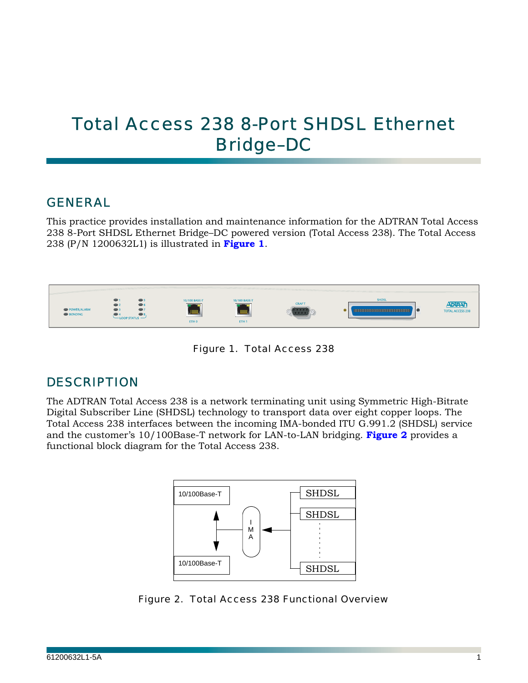## Total Access 238 8-Port SHDSL Ethernet Bridge–DC

### <span id="page-8-0"></span>GENERAL

This practice provides installation and maintenance information for the ADTRAN Total Access 238 8-Port SHDSL Ethernet Bridge–DC powered version (Total Access 238). The Total Access 238 (P/N 1200632L1) is illustrated in **[Figure 1](#page-8-2)**.



Figure 1. Total Access 238

### <span id="page-8-2"></span><span id="page-8-1"></span>**DESCRIPTION**

The ADTRAN Total Access 238 is a network terminating unit using Symmetric High-Bitrate Digital Subscriber Line (SHDSL) technology to transport data over eight copper loops. The Total Access 238 interfaces between the incoming IMA-bonded ITU G.991.2 (SHDSL) service and the customer's 10/100Base-T network for LAN-to-LAN bridging. **[Figure 2](#page-8-3)** provides a functional block diagram for the Total Access 238.



<span id="page-8-3"></span>Figure 2. Total Access 238 Functional Overview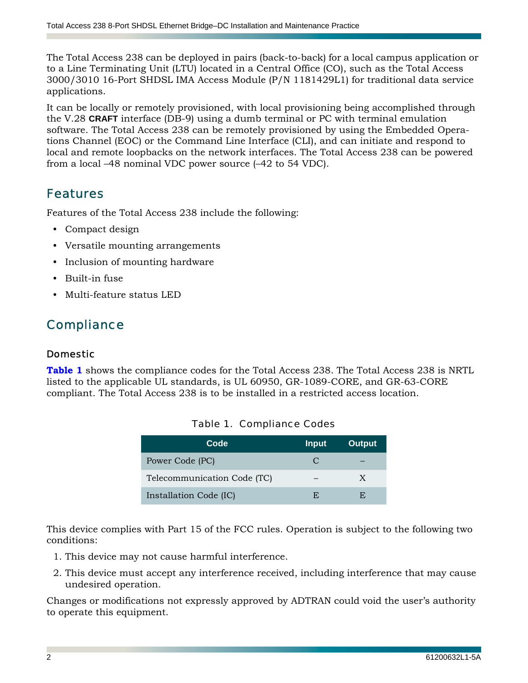The Total Access 238 can be deployed in pairs (back-to-back) for a local campus application or to a Line Terminating Unit (LTU) located in a Central Office (CO), such as the Total Access 3000/3010 16-Port SHDSL IMA Access Module (P/N 1181429L1) for traditional data service applications.

It can be locally or remotely provisioned, with local provisioning being accomplished through the V.28 **CRAFT** interface (DB-9) using a dumb terminal or PC with terminal emulation software. The Total Access 238 can be remotely provisioned by using the Embedded Operations Channel (EOC) or the Command Line Interface (CLI), and can initiate and respond to local and remote loopbacks on the network interfaces. The Total Access 238 can be powered from a local –48 nominal VDC power source (–42 to 54 VDC).

### <span id="page-9-0"></span>Features

Features of the Total Access 238 include the following:

- Compact design
- Versatile mounting arrangements
- Inclusion of mounting hardware
- Built-in fuse
- Multi-feature status LED

### <span id="page-9-1"></span>**Compliance**

### <span id="page-9-2"></span>**Domestic**

<span id="page-9-3"></span>**[Table 1](#page-9-3)** shows the compliance codes for the Total Access 238. The Total Access 238 is NRTL listed to the applicable UL standards, is UL 60950, GR-1089-CORE, and GR-63-CORE compliant. The Total Access 238 is to be installed in a restricted access location.

| Code                        | <b>Input</b> | <b>Output</b> |
|-----------------------------|--------------|---------------|
| Power Code (PC)             |              |               |
| Telecommunication Code (TC) |              | X             |
| Installation Code (IC)      |              |               |

|  | <b>Table 1. Compliance Codes</b> |  |
|--|----------------------------------|--|
|--|----------------------------------|--|

This device complies with Part 15 of the FCC rules. Operation is subject to the following two conditions:

- 1. This device may not cause harmful interference.
- 2. This device must accept any interference received, including interference that may cause undesired operation.

Changes or modifications not expressly approved by ADTRAN could void the user's authority to operate this equipment.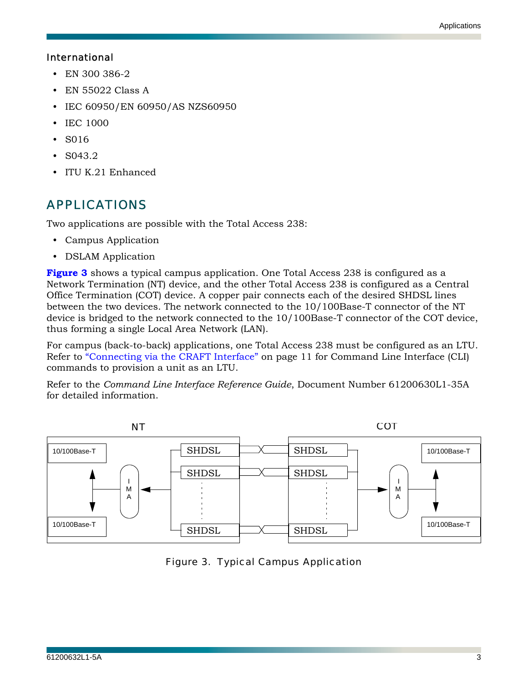#### <span id="page-10-0"></span>International

- EN 300 386-2
- EN 55022 Class A
- IEC 60950/EN 60950/AS NZS60950
- IEC 1000
- S016
- S043.2
- ITU K.21 Enhanced

### APPLICATIONS

Two applications are possible with the Total Access 238:

- Campus Application
- DSLAM Application

**[Figure 3](#page-10-1)** shows a typical campus application. One Total Access 238 is configured as a Network Termination (NT) device, and the other Total Access 238 is configured as a Central Office Termination (COT) device. A copper pair connects each of the desired SHDSL lines between the two devices. The network connected to the 10/100Base-T connector of the NT device is bridged to the network connected to the 10/100Base-T connector of the COT device, thus forming a single Local Area Network (LAN).

For campus (back-to-back) applications, one Total Access 238 must be configured as an LTU. Refer to ["Connecting via the CRAFT Interface" on page 11](#page-18-1) for Command Line Interface (CLI) commands to provision a unit as an LTU.

Refer to the *Command Line Interface Reference Guide*, Document Number 61200630L1-35A for detailed information.



<span id="page-10-1"></span>Figure 3. Typical Campus Application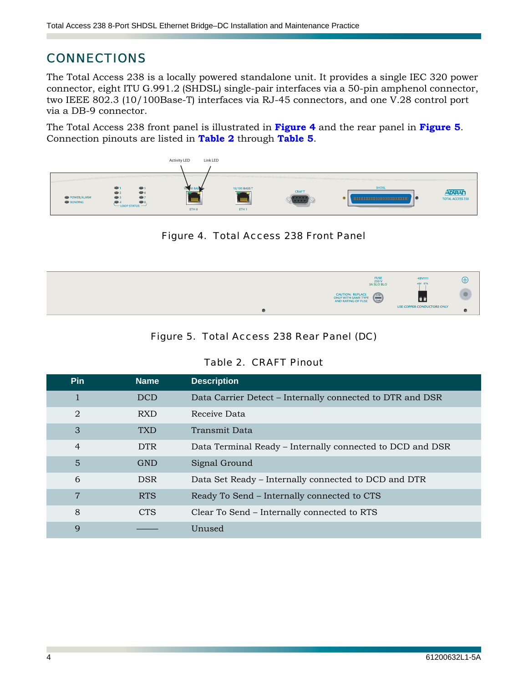### <span id="page-11-0"></span>**CONNECTIONS**

The Total Access 238 is a locally powered standalone unit. It provides a single IEC 320 power connector, eight ITU G.991.2 (SHDSL) single-pair interfaces via a 50-pin amphenol connector, two IEEE 802.3 (10/100Base-T) interfaces via RJ-45 connectors, and one V.28 control port via a DB-9 connector.

The Total Access 238 front panel is illustrated in **[Figure 4](#page-11-2)** and the rear panel in **[Figure 5](#page-11-3)**. Connection pinouts are listed in **[Table 2](#page-11-1)** through **[Table 5](#page-12-2)**.



Figure 4. Total Access 238 Front Panel

<span id="page-11-2"></span>

|                                                               | <b>FUSE</b><br>250 V<br>3A SLO BLO | $-48V$<br>$-48V$ RTN       | U |
|---------------------------------------------------------------|------------------------------------|----------------------------|---|
| CAUTION: REPLACE<br>ONLY WITH SAME TYPE<br>AND RATING OF FUSE | <b>Castle Street</b>               |                            |   |
|                                                               |                                    | USE COPPER CONDUCTORS ONLY |   |

#### Figure 5. Total Access 238 Rear Panel (DC)

#### Table 2. CRAFT Pinout

<span id="page-11-3"></span><span id="page-11-1"></span>

| <b>Pin</b>     | <b>Name</b> | <b>Description</b>                                        |
|----------------|-------------|-----------------------------------------------------------|
|                | <b>DCD</b>  | Data Carrier Detect – Internally connected to DTR and DSR |
| $\overline{2}$ | <b>RXD</b>  | Receive Data                                              |
| 3              | <b>TXD</b>  | Transmit Data                                             |
| $\overline{4}$ | <b>DTR</b>  | Data Terminal Ready – Internally connected to DCD and DSR |
| 5              | <b>GND</b>  | Signal Ground                                             |
| 6              | <b>DSR</b>  | Data Set Ready – Internally connected to DCD and DTR      |
| $\overline{7}$ | <b>RTS</b>  | Ready To Send – Internally connected to CTS               |
| 8              | <b>CTS</b>  | Clear To Send – Internally connected to RTS               |
| 9              |             | Unused                                                    |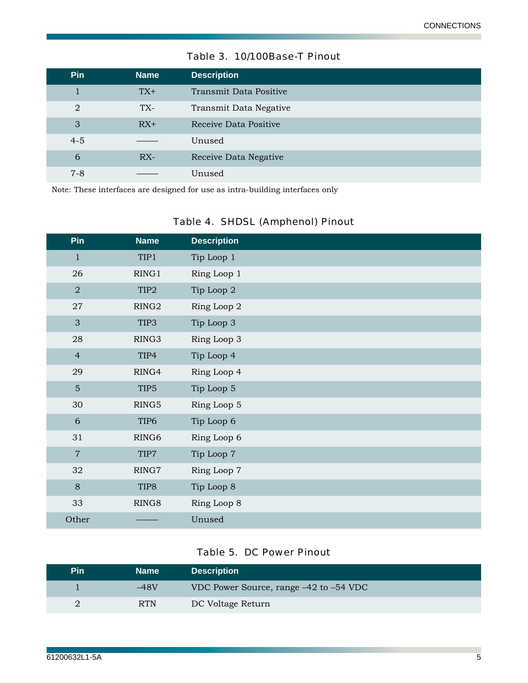<span id="page-12-0"></span>

| <b>Pin</b>     | <b>Name</b> | <b>Description</b>     |
|----------------|-------------|------------------------|
|                | $TX+$       | Transmit Data Positive |
| $\overline{2}$ | TX-         | Transmit Data Negative |
| 3              | $RX+$       | Receive Data Positive  |
| $4 - 5$        |             | Unused                 |
| 6              | $RX-$       | Receive Data Negative  |
| $7 - 8$        |             | Unused                 |

#### Table 3. 10/100Base-T Pinout

Note: These interfaces are designed for use as intra-building interfaces only

### Table 4. SHDSL (Amphenol) Pinout

<span id="page-12-1"></span>

| Pin            | <b>Name</b>       | <b>Description</b> |
|----------------|-------------------|--------------------|
| $1\,$          | TIP1              | Tip Loop 1         |
| 26             | RING1             | Ring Loop 1        |
| $\sqrt{2}$     | TIP <sub>2</sub>  | Tip Loop 2         |
| $27\,$         | RING <sub>2</sub> | Ring Loop 2        |
| 3              | TIP <sub>3</sub>  | Tip Loop 3         |
| 28             | RING3             | Ring Loop 3        |
| $\overline{4}$ | TIP4              | Tip Loop 4         |
| 29             | RING4             | Ring Loop 4        |
| 5              | TIP <sub>5</sub>  | Tip Loop 5         |
| 30             | RING5             | Ring Loop 5        |
| 6              | TIP <sub>6</sub>  | Tip Loop 6         |
| 31             | RING6             | Ring Loop 6        |
| $\sqrt{7}$     | TIP7              | Tip Loop 7         |
| 32             | RING7             | Ring Loop 7        |
| $\,8\,$        | TIP8              | Tip Loop 8         |
| 33             | RING8             | Ring Loop 8        |
| Other          |                   | Unused             |

### Table 5. DC Power Pinout

<span id="page-12-2"></span>

| Pin | <b>Name</b> | <b>Description</b>                     |
|-----|-------------|----------------------------------------|
|     | $-48V$      | VDC Power Source, range -42 to -54 VDC |
|     | <b>RTN</b>  | DC Voltage Return                      |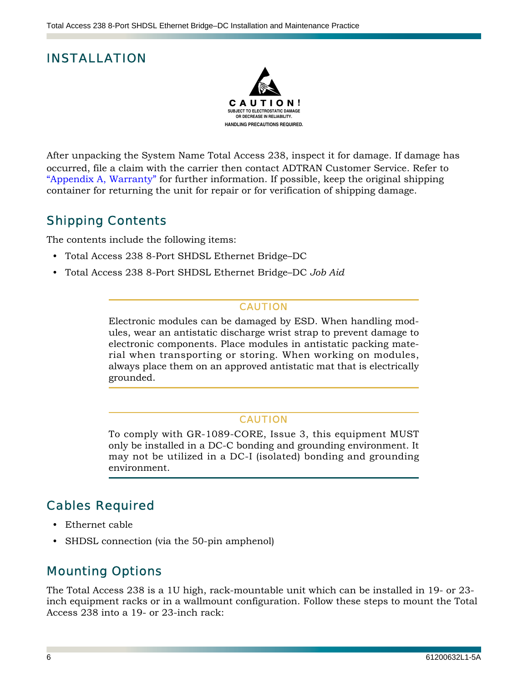### <span id="page-13-0"></span>INSTALLATION



After unpacking the System Name Total Access 238, inspect it for damage. If damage has occurred, file a claim with the carrier then contact ADTRAN Customer Service. Refer to ["Appendix A,](#page-26-7) [Warranty"](#page-26-8) for further information. If possible, keep the original shipping container for returning the unit for repair or for verification of shipping damage.

### <span id="page-13-1"></span>Shipping Contents

The contents include the following items:

- Total Access 238 8-Port SHDSL Ethernet Bridge–DC
- Total Access 238 8-Port SHDSL Ethernet Bridge–DC *Job Aid*

#### CAUTION

Electronic modules can be damaged by ESD. When handling modules, wear an antistatic discharge wrist strap to prevent damage to electronic components. Place modules in antistatic packing material when transporting or storing. When working on modules, always place them on an approved antistatic mat that is electrically grounded.

#### CAUTION

To comply with GR-1089-CORE, Issue 3, this equipment MUST only be installed in a DC-C bonding and grounding environment. It may not be utilized in a DC-I (isolated) bonding and grounding environment.

### <span id="page-13-2"></span>Cables Required

- Ethernet cable
- SHDSL connection (via the 50-pin amphenol)

### <span id="page-13-3"></span>Mounting Options

The Total Access 238 is a 1U high, rack-mountable unit which can be installed in 19- or 23 inch equipment racks or in a wallmount configuration. Follow these steps to mount the Total Access 238 into a 19- or 23-inch rack: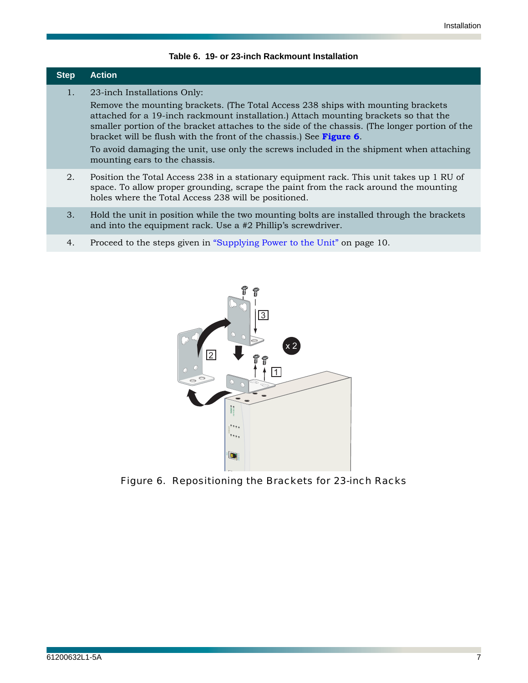#### **Table 6. 19- or 23-inch Rackmount Installation**

<span id="page-14-0"></span>

| <b>Step</b>    | <b>Action</b>                                                                                                                                                                                                                                                                                                                                                                                                                                                                         |
|----------------|---------------------------------------------------------------------------------------------------------------------------------------------------------------------------------------------------------------------------------------------------------------------------------------------------------------------------------------------------------------------------------------------------------------------------------------------------------------------------------------|
| 1 <sub>1</sub> | 23-inch Installations Only:                                                                                                                                                                                                                                                                                                                                                                                                                                                           |
|                | Remove the mounting brackets. (The Total Access 238 ships with mounting brackets<br>attached for a 19-inch rackmount installation.) Attach mounting brackets so that the<br>smaller portion of the bracket attaches to the side of the chassis. (The longer portion of the<br>bracket will be flush with the front of the chassis.) See <b>Figure 6</b> .<br>To avoid damaging the unit, use only the screws included in the shipment when attaching<br>mounting ears to the chassis. |
| 2.             | Position the Total Access 238 in a stationary equipment rack. This unit takes up 1 RU of<br>space. To allow proper grounding, scrape the paint from the rack around the mounting<br>holes where the Total Access 238 will be positioned.                                                                                                                                                                                                                                              |
| 3.             | Hold the unit in position while the two mounting bolts are installed through the brackets<br>and into the equipment rack. Use a #2 Phillip's screwdriver.                                                                                                                                                                                                                                                                                                                             |
| 4.             | Proceed to the steps given in "Supplying Power to the Unit" on page 10.                                                                                                                                                                                                                                                                                                                                                                                                               |
|                |                                                                                                                                                                                                                                                                                                                                                                                                                                                                                       |

<span id="page-14-1"></span>

Figure 6. Repositioning the Brackets for 23-inch Racks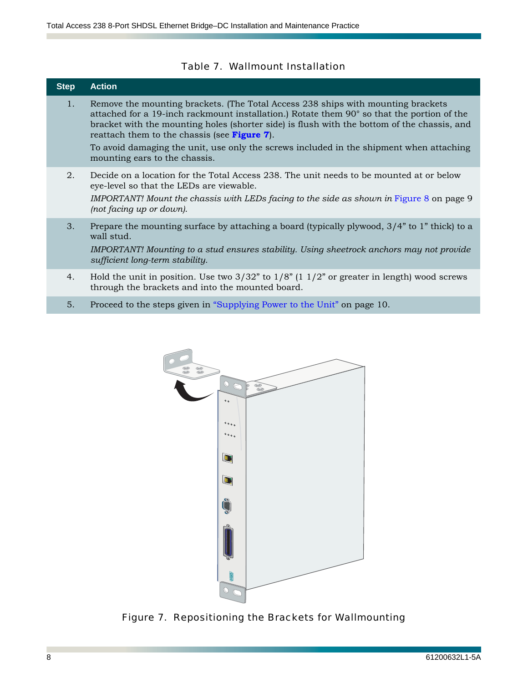<span id="page-15-0"></span>

| <b>Step</b> | <b>Action</b>                                                                                                                                                                                                                                                                                                                                                                                                                                                     |
|-------------|-------------------------------------------------------------------------------------------------------------------------------------------------------------------------------------------------------------------------------------------------------------------------------------------------------------------------------------------------------------------------------------------------------------------------------------------------------------------|
| 1.          | Remove the mounting brackets. (The Total Access 238 ships with mounting brackets<br>attached for a 19-inch rackmount installation.) Rotate them 90° so that the portion of the<br>bracket with the mounting holes (shorter side) is flush with the bottom of the chassis, and<br>reattach them to the chassis (see <b>Figure 7</b> ).<br>To avoid damaging the unit, use only the screws included in the shipment when attaching<br>mounting ears to the chassis. |
| 2.          | Decide on a location for the Total Access 238. The unit needs to be mounted at or below<br>eye-level so that the LEDs are viewable.<br>IMPORTANT! Mount the chassis with LEDs facing to the side as shown in Figure 8 on page 9<br>(not facing up or down).                                                                                                                                                                                                       |
| 3.          | Prepare the mounting surface by attaching a board (typically plywood, 3/4" to 1" thick) to a<br>wall stud.<br>IMPORTANT! Mounting to a stud ensures stability. Using sheetrock anchors may not provide<br>sufficient long-term stability.                                                                                                                                                                                                                         |
| 4.          | Hold the unit in position. Use two $3/32$ " to $1/8$ " (1 $1/2$ " or greater in length) wood screws<br>through the brackets and into the mounted board.                                                                                                                                                                                                                                                                                                           |

#### Table 7. Wallmount Installation

5. Proceed to the steps given in ["Supplying Power to the Unit" on page 10.](#page-17-0)



### <span id="page-15-1"></span>Figure 7. Repositioning the Brackets for Wallmounting

г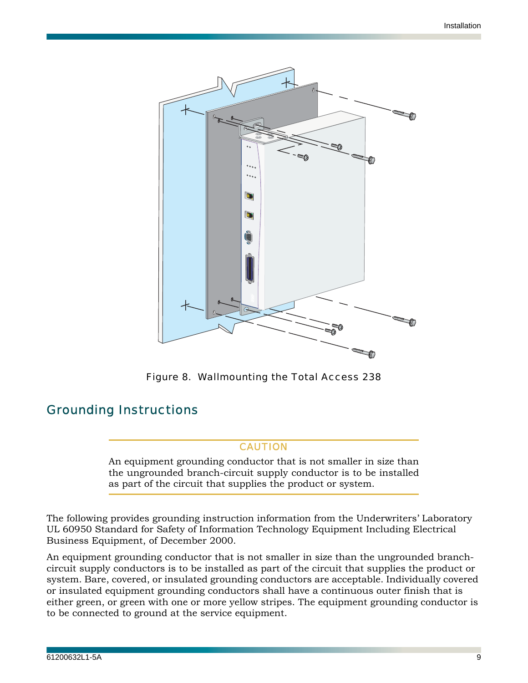

Figure 8. Wallmounting the Total Access 238

### <span id="page-16-1"></span><span id="page-16-0"></span>Grounding Instructions

#### CAUTION

An equipment grounding conductor that is not smaller in size than the ungrounded branch-circuit supply conductor is to be installed as part of the circuit that supplies the product or system.

The following provides grounding instruction information from the Underwriters' Laboratory UL 60950 Standard for Safety of Information Technology Equipment Including Electrical Business Equipment, of December 2000.

An equipment grounding conductor that is not smaller in size than the ungrounded branchcircuit supply conductors is to be installed as part of the circuit that supplies the product or system. Bare, covered, or insulated grounding conductors are acceptable. Individually covered or insulated equipment grounding conductors shall have a continuous outer finish that is either green, or green with one or more yellow stripes. The equipment grounding conductor is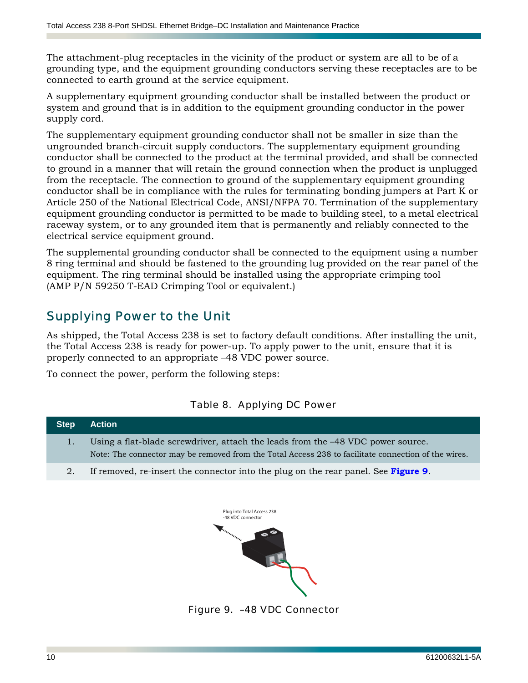The attachment-plug receptacles in the vicinity of the product or system are all to be of a grounding type, and the equipment grounding conductors serving these receptacles are to be connected to earth ground at the service equipment.

A supplementary equipment grounding conductor shall be installed between the product or system and ground that is in addition to the equipment grounding conductor in the power supply cord.

The supplementary equipment grounding conductor shall not be smaller in size than the ungrounded branch-circuit supply conductors. The supplementary equipment grounding conductor shall be connected to the product at the terminal provided, and shall be connected to ground in a manner that will retain the ground connection when the product is unplugged from the receptacle. The connection to ground of the supplementary equipment grounding conductor shall be in compliance with the rules for terminating bonding jumpers at Part K or Article 250 of the National Electrical Code, ANSI/NFPA 70. Termination of the supplementary equipment grounding conductor is permitted to be made to building steel, to a metal electrical raceway system, or to any grounded item that is permanently and reliably connected to the electrical service equipment ground.

The supplemental grounding conductor shall be connected to the equipment using a number 8 ring terminal and should be fastened to the grounding lug provided on the rear panel of the equipment. The ring terminal should be installed using the appropriate crimping tool (AMP P/N 59250 T-EAD Crimping Tool or equivalent.)

### <span id="page-17-0"></span>Supplying Power to the Unit

As shipped, the Total Access 238 is set to factory default conditions. After installing the unit, the Total Access 238 is ready for power-up. To apply power to the unit, ensure that it is properly connected to an appropriate –48 VDC power source.

To connect the power, perform the following steps:

<span id="page-17-1"></span>

| <b>Step</b> | <b>Action</b>                                                                                                                                                                          |
|-------------|----------------------------------------------------------------------------------------------------------------------------------------------------------------------------------------|
|             | Using a flat-blade screwdriver, attach the leads from the -48 VDC power source.<br>Note: The connector may be removed from the Total Access 238 to facilitate connection of the wires. |
|             | If removed, re-insert the connector into the plug on the rear panel. See <b>Figure 9.</b>                                                                                              |





<span id="page-17-2"></span>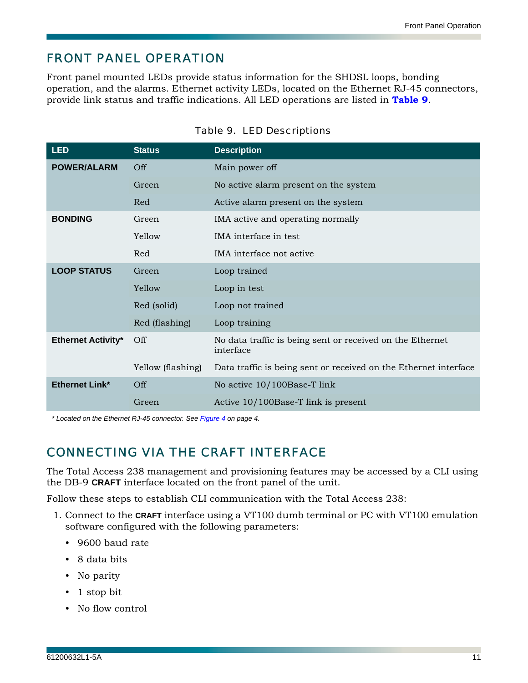### <span id="page-18-0"></span>FRONT PANEL OPERATION

Front panel mounted LEDs provide status information for the SHDSL loops, bonding operation, and the alarms. Ethernet activity LEDs, located on the Ethernet RJ-45 connectors, provide link status and traffic indications. All LED operations are listed in **[Table 9](#page-18-2)**.

<span id="page-18-2"></span>

| <b>LED</b>                | <b>Status</b>     | <b>Description</b>                                                     |
|---------------------------|-------------------|------------------------------------------------------------------------|
| <b>POWER/ALARM</b>        | Off               | Main power off                                                         |
|                           | Green             | No active alarm present on the system                                  |
|                           | Red               | Active alarm present on the system                                     |
| <b>BONDING</b>            | Green             | IMA active and operating normally                                      |
|                           | Yellow            | IMA interface in test                                                  |
|                           | Red               | IMA interface not active                                               |
| <b>LOOP STATUS</b>        | Green             | Loop trained                                                           |
|                           | Yellow            | Loop in test                                                           |
|                           | Red (solid)       | Loop not trained                                                       |
|                           | Red (flashing)    | Loop training                                                          |
| <b>Ethernet Activity*</b> | Off               | No data traffic is being sent or received on the Ethernet<br>interface |
|                           | Yellow (flashing) | Data traffic is being sent or received on the Ethernet interface       |
| <b>Ethernet Link*</b>     | Off               | No active 10/100Base-T link                                            |
|                           | Green             | Active 10/100Base-T link is present                                    |

#### Table 9. LED Descriptions

*\* Located on the Ethernet RJ-45 connector. See [Figure 4 on page 4](#page-11-2).*

### <span id="page-18-1"></span>CONNECTING VIA THE CRAFT INTERFACE

The Total Access 238 management and provisioning features may be accessed by a CLI using the DB-9 **CRAFT** interface located on the front panel of the unit.

Follow these steps to establish CLI communication with the Total Access 238:

- 1. Connect to the **CRAFT** interface using a VT100 dumb terminal or PC with VT100 emulation software configured with the following parameters:
	- 9600 baud rate
	- 8 data bits
	- No parity
	- 1 stop bit
	- No flow control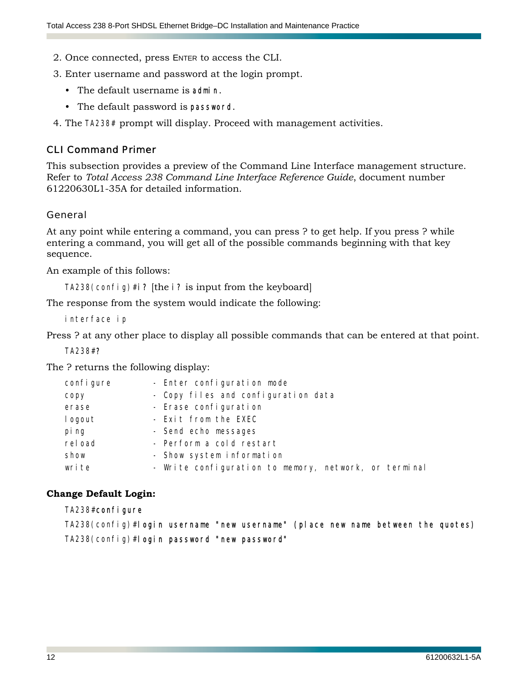- 2. Once connected, press ENTER to access the CLI.
- 3. Enter username and password at the login prompt.
	- The default username is admin.
	- The default password is **password**.
- 4. The TA238# prompt will display. Proceed with management activities.

#### <span id="page-19-0"></span>CLI Command Primer

This subsection provides a preview of the Command Line Interface management structure. Refer to *Total Access 238 Command Line Interface Reference Guide*, document number 61220630L1-35A for detailed information.

#### <span id="page-19-1"></span>*General*

At any point while entering a command, you can press ? to get help. If you press ? while entering a command, you will get all of the possible commands beginning with that key sequence.

An example of this follows:

```
TA238(config)#i? [the i? is input from the keyboard]
```
The response from the system would indicate the following:

interface ip

Press ? at any other place to display all possible commands that can be entered at that point.

TA238#?

The ? returns the following display:

| - Enter configuration mode                            |
|-------------------------------------------------------|
| - Copy files and configuration data                   |
| - Erase configuration                                 |
| - Exit from the EXEC                                  |
| - Send echo messages                                  |
| - Perform a cold restart                              |
| - Show system information                             |
| - Write configuration to memory, network, or terminal |
|                                                       |

#### <span id="page-19-2"></span>**Change Default Login:**

#### TA238#configure

TA238(config)#login username "new username" (place new name between the quotes) TA238(config)#login password "new password"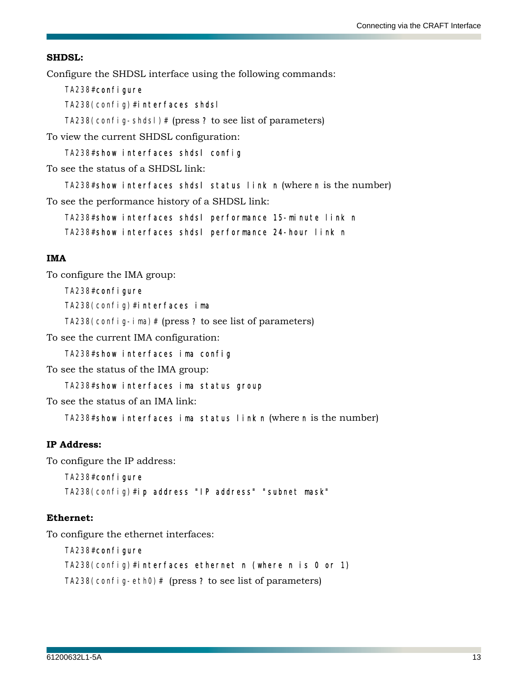#### <span id="page-20-0"></span>**SHDSL:**

Configure the SHDSL interface using the following commands:

#### TA238#configure

TA238(config)#interfaces shdsl

TA238(config-shdsl)# (press ? to see list of parameters)

To view the current SHDSL configuration:

TA238#show interfaces shdsl config

To see the status of a SHDSL link:

TA238#show interfaces shdsl status link n (where n is the number)

To see the performance history of a SHDSL link:

TA238#show interfaces shdsl performance 15-minute link n TA238#show interfaces shdsl performance 24-hour link n

#### <span id="page-20-1"></span>**IMA**

To configure the IMA group:

TA238#configure

TA238(config)#interfaces ima

TA238(config-ima)# (press ? to see list of parameters)

To see the current IMA configuration:

TA238#show interfaces ima config

To see the status of the IMA group:

TA238#show interfaces ima status group

To see the status of an IMA link:

TA238#show interfaces ima status link n (where n is the number)

#### <span id="page-20-2"></span>**IP Address:**

To configure the IP address:

#### TA238#configure

TA238(config)#ip address "IP address" "subnet mask"

#### <span id="page-20-3"></span>**Ethernet:**

To configure the ethernet interfaces:

#### TA238#configure

TA238(config)#interfaces ethernet n (where n is 0 or 1)

TA238(config-eth0)# (press ? to see list of parameters)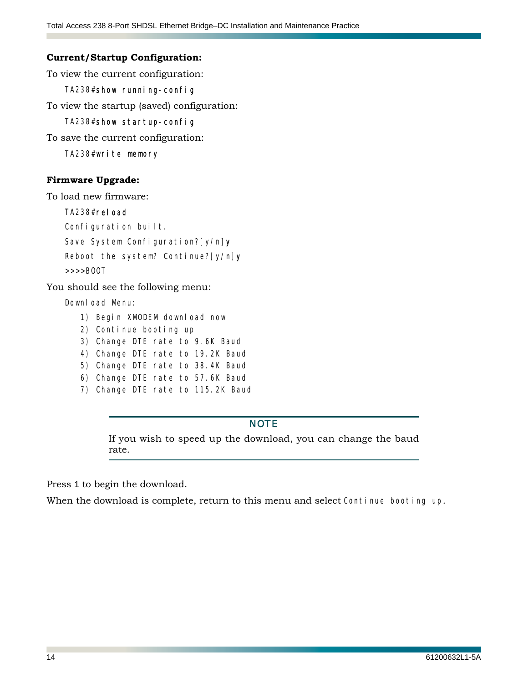#### <span id="page-21-0"></span>**Current/Startup Configuration:**

To view the current configuration:

TA238#show running-config

To view the startup (saved) configuration:

#### TA238#show startup-config

To save the current configuration:

TA238#write memory

#### <span id="page-21-1"></span>**Firmware Upgrade:**

To load new firmware:

#### TA238#reload

Configuration built.

Save System Configuration?[y/n]y

Reboot the system? Continue?[y/n]y

>>>>BOOT

You should see the following menu:

Download Menu:

- 1) Begin XMODEM download now
- 2) Continue booting up
- 3) Change DTE rate to 9.6K Baud
- 4) Change DTE rate to 19.2K Baud
- 5) Change DTE rate to 38.4K Baud
- 6) Change DTE rate to 57.6K Baud
- 7) Change DTE rate to 115.2K Baud

#### **NOTE**

If you wish to speed up the download, you can change the baud rate.

Press 1 to begin the download.

When the download is complete, return to this menu and select Continue booting up.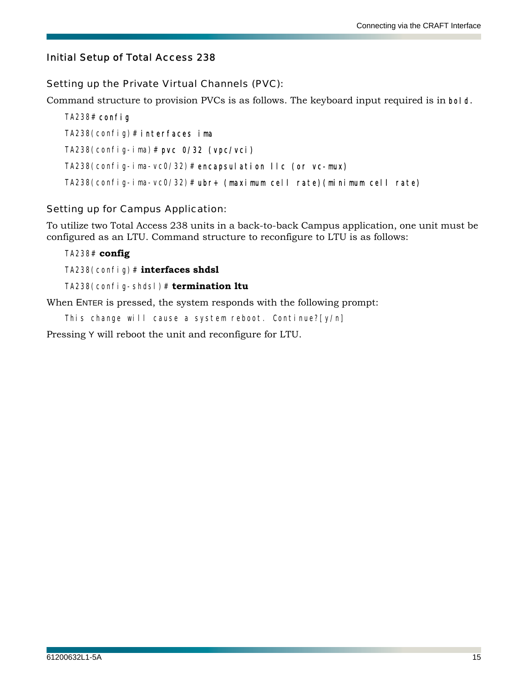### <span id="page-22-0"></span>Initial Setup of Total Access 238

### <span id="page-22-1"></span>*Setting up the Private Virtual Channels (PVC):*

Command structure to provision PVCs is as follows. The keyboard input required is in bold.

TA238# config TA238(config)# interfaces ima TA238(config-ima)# pvc  $0/32$  (vpc/vci) TA238(config-ima-vc0/32)# encapsulation llc (or vc-mux) TA238(config-ima-vc0/32)# ubr+ (maximum cell rate)(minimum cell rate)

### <span id="page-22-2"></span>*Setting up for Campus Application:*

To utilize two Total Access 238 units in a back-to-back Campus application, one unit must be configured as an LTU. Command structure to reconfigure to LTU is as follows:

TA238# **config**

#### TA238(config)# **interfaces shdsl**

TA238(config-shdsl)# **termination ltu**

When ENTER is pressed, the system responds with the following prompt:

This change will cause a system reboot. Continue?[y/n]

Pressing Y will reboot the unit and reconfigure for LTU.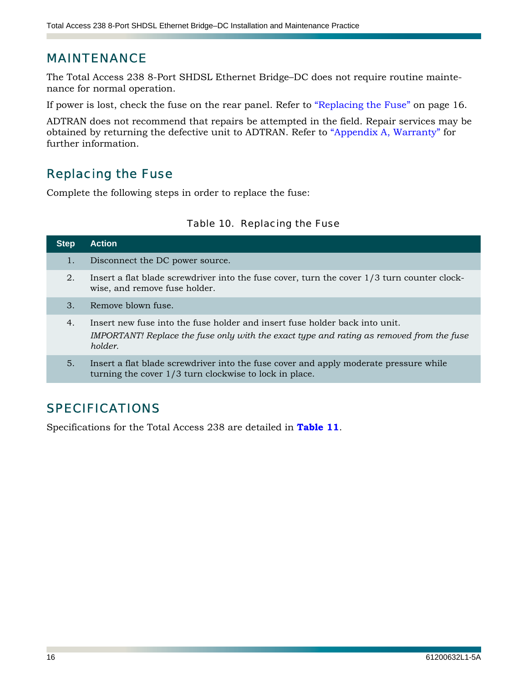### <span id="page-23-0"></span>MAINTENANCE

The Total Access 238 8-Port SHDSL Ethernet Bridge–DC does not require routine maintenance for normal operation.

If power is lost, check the fuse on the rear panel. Refer to ["Replacing the Fuse" on page 16](#page-23-1).

ADTRAN does not recommend that repairs be attempted in the field. Repair services may be obtained by returning the defective unit to ADTRAN. Refer to ["Appendix A,](#page-26-7) [Warranty"](#page-26-8) for further information.

### <span id="page-23-1"></span>Replacing the Fuse

Complete the following steps in order to replace the fuse:

<span id="page-23-3"></span>

| <b>Action</b>                                                                                                                                                                      |
|------------------------------------------------------------------------------------------------------------------------------------------------------------------------------------|
| Disconnect the DC power source.                                                                                                                                                    |
| Insert a flat blade screwdriver into the fuse cover, turn the cover 1/3 turn counter clock-<br>wise, and remove fuse holder.                                                       |
| Remove blown fuse.                                                                                                                                                                 |
| Insert new fuse into the fuse holder and insert fuse holder back into unit.<br>IMPORTANT! Replace the fuse only with the exact type and rating as removed from the fuse<br>holder. |
| Insert a flat blade screwdriver into the fuse cover and apply moderate pressure while<br>turning the cover $1/3$ turn clockwise to lock in place.                                  |
|                                                                                                                                                                                    |

### <span id="page-23-2"></span>SPECIFICATIONS

Specifications for the Total Access 238 are detailed in **[Table 11](#page-24-0)**.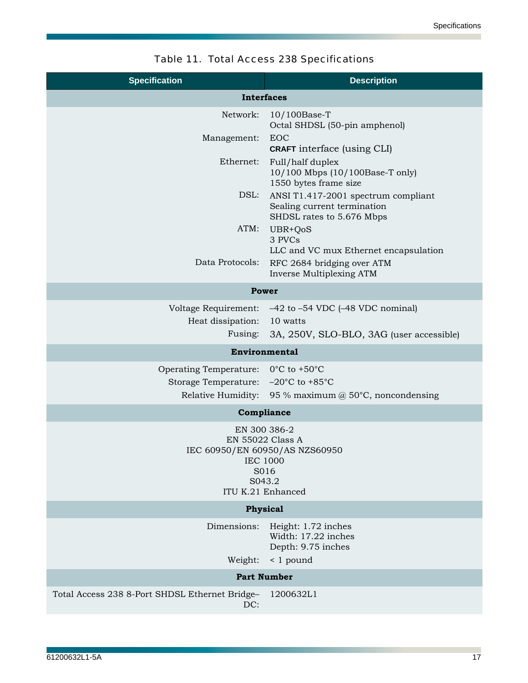<span id="page-24-0"></span>

| <b>Specification</b>                                                                                                         | <b>Description</b>                                                                              |  |  |  |
|------------------------------------------------------------------------------------------------------------------------------|-------------------------------------------------------------------------------------------------|--|--|--|
| <b>Interfaces</b>                                                                                                            |                                                                                                 |  |  |  |
| Network:                                                                                                                     | $10/100$ Base-T<br>Octal SHDSL (50-pin amphenol)                                                |  |  |  |
| Management:                                                                                                                  | EOC<br><b>CRAFT</b> interface (using CLI)                                                       |  |  |  |
| Ethernet:                                                                                                                    | Full/half duplex<br>10/100 Mbps (10/100Base-T only)<br>1550 bytes frame size                    |  |  |  |
| DSL:                                                                                                                         | ANSI T1.417-2001 spectrum compliant<br>Sealing current termination<br>SHDSL rates to 5.676 Mbps |  |  |  |
| ATM:                                                                                                                         | UBR+QoS<br>3 PVCs                                                                               |  |  |  |
| Data Protocols:                                                                                                              | LLC and VC mux Ethernet encapsulation<br>RFC 2684 bridging over ATM<br>Inverse Multiplexing ATM |  |  |  |
| Power                                                                                                                        |                                                                                                 |  |  |  |
| Voltage Requirement:<br>Heat dissipation:                                                                                    | $-42$ to $-54$ VDC $(-48$ VDC nominal)<br>10 watts                                              |  |  |  |
| Fusing:                                                                                                                      | 3A, 250V, SLO-BLO, 3AG (user accessible)                                                        |  |  |  |
|                                                                                                                              | Environmental                                                                                   |  |  |  |
| Operating Temperature:                                                                                                       | $0^{\circ}$ C to +50 $^{\circ}$ C                                                               |  |  |  |
| Storage Temperature:                                                                                                         | $-20^{\circ}$ C to +85 $^{\circ}$ C                                                             |  |  |  |
| Relative Humidity: $95\%$ maximum @ 50°C, noncondensing<br>Compliance                                                        |                                                                                                 |  |  |  |
|                                                                                                                              |                                                                                                 |  |  |  |
| EN 300 386-2<br>EN 55022 Class A<br>IEC 60950/EN 60950/AS NZS60950<br><b>IEC 1000</b><br>S016<br>S043.2<br>ITU K.21 Enhanced |                                                                                                 |  |  |  |
| Physical                                                                                                                     |                                                                                                 |  |  |  |
| Dimensions:<br>Weight:                                                                                                       | Height: 1.72 inches<br>Width: 17.22 inches<br>Depth: 9.75 inches<br>< 1 pound                   |  |  |  |
| <b>Part Number</b>                                                                                                           |                                                                                                 |  |  |  |
| Total Access 238 8-Port SHDSL Ethernet Bridge-<br>DC:                                                                        | 1200632L1                                                                                       |  |  |  |

### Table 11. Total Access 238 Specifications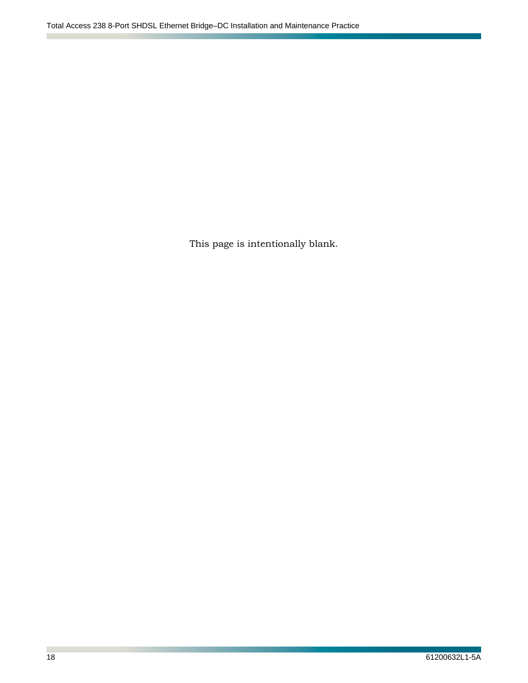This page is intentionally blank.

г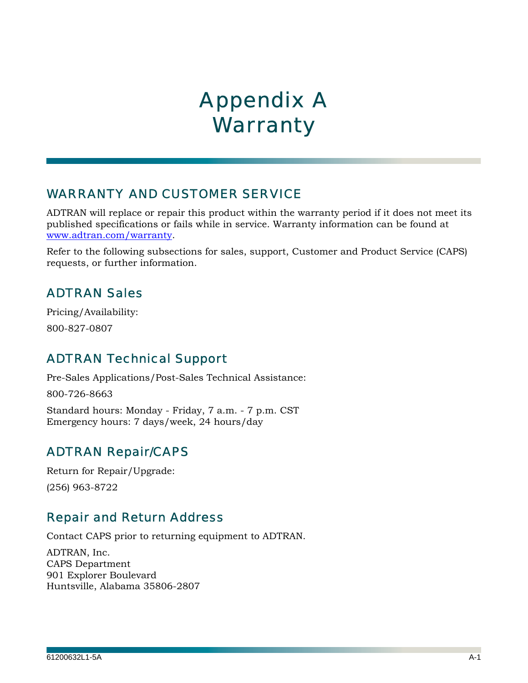# <span id="page-26-8"></span><span id="page-26-7"></span>Appendix A **Warranty**

### <span id="page-26-2"></span><span id="page-26-1"></span><span id="page-26-0"></span>WARRANTY AND CUSTOMER SERVICE

ADTRAN will replace or repair this product within the warranty period if it does not meet its published specifications or fails while in service. Warranty information can be found at [www.adtran.com/warranty.](http://www.adtran.com/warranty)

Refer to the following subsections for sales, support, Customer and Product Service (CAPS) requests, or further information.

### <span id="page-26-3"></span>ADTRAN Sales

Pricing/Availability: 800-827-0807

### <span id="page-26-4"></span>ADTRAN Technical Support

Pre-Sales Applications/Post-Sales Technical Assistance: 800-726-8663 Standard hours: Monday - Friday, 7 a.m. - 7 p.m. CST Emergency hours: 7 days/week, 24 hours/day

### <span id="page-26-5"></span>ADTRAN Repair/CAPS

Return for Repair/Upgrade: (256) 963-8722

### <span id="page-26-6"></span>Repair and Return Address

Contact CAPS prior to returning equipment to ADTRAN.

ADTRAN, Inc. CAPS Department 901 Explorer Boulevard Huntsville, Alabama 35806-2807